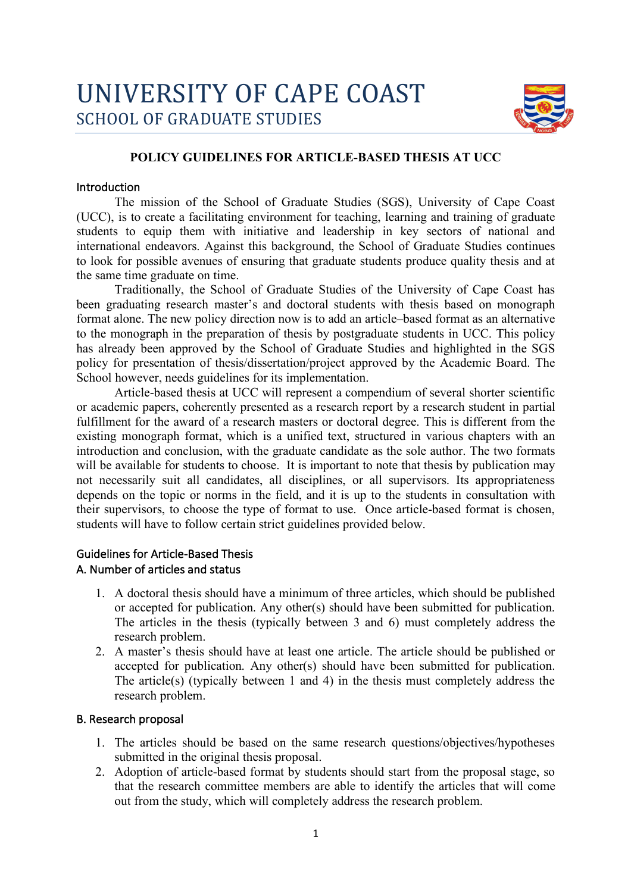

## **POLICY GUIDELINES FOR ARTICLE-BASED THESIS AT UCC**

#### Introduction

The mission of the School of Graduate Studies (SGS), University of Cape Coast (UCC), is to create a facilitating environment for teaching, learning and training of graduate students to equip them with initiative and leadership in key sectors of national and international endeavors. Against this background, the School of Graduate Studies continues to look for possible avenues of ensuring that graduate students produce quality thesis and at the same time graduate on time.

Traditionally, the School of Graduate Studies of the University of Cape Coast has been graduating research master's and doctoral students with thesis based on monograph format alone. The new policy direction now is to add an article–based format as an alternative to the monograph in the preparation of thesis by postgraduate students in UCC. This policy has already been approved by the School of Graduate Studies and highlighted in the SGS policy for presentation of thesis/dissertation/project approved by the Academic Board. The School however, needs guidelines for its implementation.

Article-based thesis at UCC will represent a compendium of several shorter scientific or academic papers, coherently presented as a research report by a research student in partial fulfillment for the award of a research masters or doctoral degree. This is different from the existing monograph format, which is a unified text, structured in various chapters with an introduction and conclusion, with the graduate candidate as the sole author. The two formats will be available for students to choose. It is important to note that thesis by publication may not necessarily suit all candidates, all disciplines, or all supervisors. Its appropriateness depends on the topic or norms in the field, and it is up to the students in consultation with their supervisors, to choose the type of format to use. Once article-based format is chosen, students will have to follow certain strict guidelines provided below.

#### Guidelines for Article-Based Thesis

#### A. Number of articles and status

- 1. A doctoral thesis should have a minimum of three articles, which should be published or accepted for publication. Any other(s) should have been submitted for publication. The articles in the thesis (typically between 3 and 6) must completely address the research problem.
- 2. A master's thesis should have at least one article. The article should be published or accepted for publication. Any other(s) should have been submitted for publication. The article(s) (typically between 1 and 4) in the thesis must completely address the research problem.

#### B. Research proposal

- 1. The articles should be based on the same research questions/objectives/hypotheses submitted in the original thesis proposal.
- 2. Adoption of article-based format by students should start from the proposal stage, so that the research committee members are able to identify the articles that will come out from the study, which will completely address the research problem.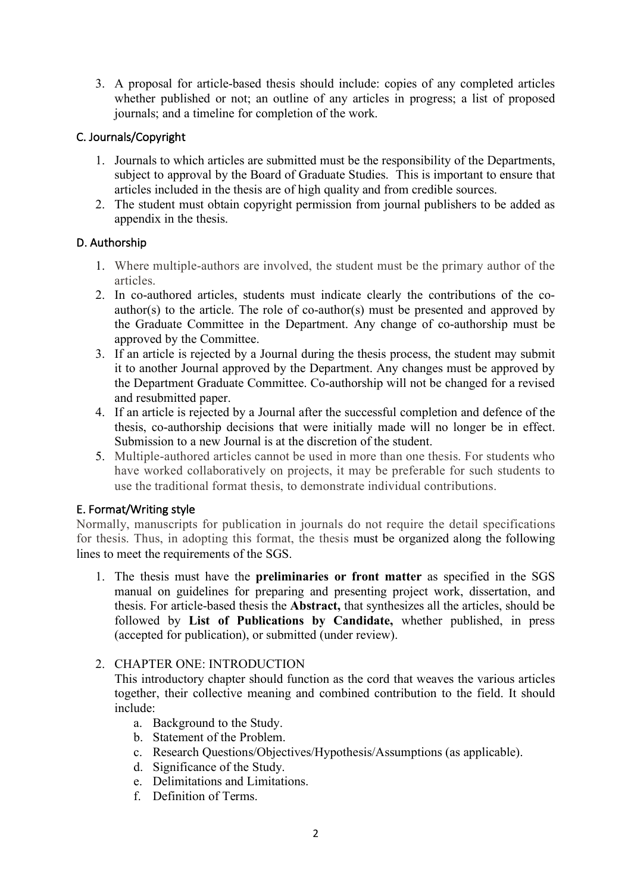3. A proposal for article-based thesis should include: copies of any completed articles whether published or not; an outline of any articles in progress; a list of proposed journals; and a timeline for completion of the work.

# C. Journals/Copyright

- 1. Journals to which articles are submitted must be the responsibility of the Departments, subject to approval by the Board of Graduate Studies. This is important to ensure that articles included in the thesis are of high quality and from credible sources.
- 2. The student must obtain copyright permission from journal publishers to be added as appendix in the thesis.

## D. Authorship

- 1. Where multiple-authors are involved, the student must be the primary author of the articles.
- 2. In co-authored articles, students must indicate clearly the contributions of the coauthor(s) to the article. The role of co-author(s) must be presented and approved by the Graduate Committee in the Department. Any change of co-authorship must be approved by the Committee.
- 3. If an article is rejected by a Journal during the thesis process, the student may submit it to another Journal approved by the Department. Any changes must be approved by the Department Graduate Committee. Co-authorship will not be changed for a revised and resubmitted paper.
- 4. If an article is rejected by a Journal after the successful completion and defence of the thesis, co-authorship decisions that were initially made will no longer be in effect. Submission to a new Journal is at the discretion of the student.
- 5. Multiple-authored articles cannot be used in more than one thesis. For students who have worked collaboratively on projects, it may be preferable for such students to use the traditional format thesis, to demonstrate individual contributions.

## E. Format/Writing style

Normally, manuscripts for publication in journals do not require the detail specifications for thesis. Thus, in adopting this format, the thesis must be organized along the following lines to meet the requirements of the SGS.

1. The thesis must have the **preliminaries or front matter** as specified in the SGS manual on guidelines for preparing and presenting project work, dissertation, and thesis. For article-based thesis the **Abstract,** that synthesizes all the articles, should be followed by **List of Publications by Candidate,** whether published, in press (accepted for publication), or submitted (under review).

## 2. CHAPTER ONE: INTRODUCTION

This introductory chapter should function as the cord that weaves the various articles together, their collective meaning and combined contribution to the field. It should include:

- a. Background to the Study.
- b. Statement of the Problem.
- c. Research Questions/Objectives/Hypothesis/Assumptions (as applicable).
- d. Significance of the Study.
- e. Delimitations and Limitations.
- f. Definition of Terms.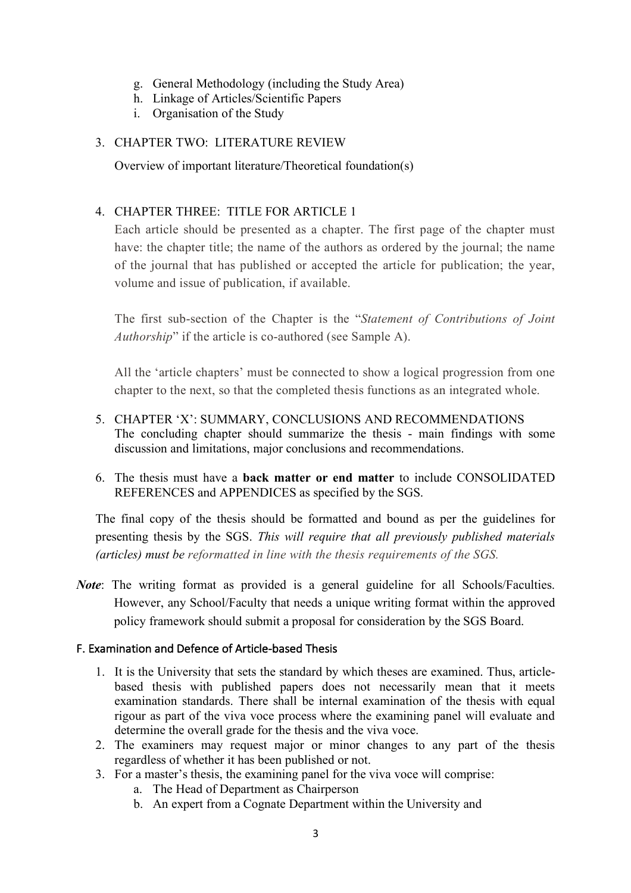- g. General Methodology (including the Study Area)
- h. Linkage of Articles/Scientific Papers
- i. Organisation of the Study

# 3. CHAPTER TWO: LITERATURE REVIEW

Overview of important literature/Theoretical foundation(s)

# 4. CHAPTER THREE: TITLE FOR ARTICLE 1

Each article should be presented as a chapter. The first page of the chapter must have: the chapter title; the name of the authors as ordered by the journal; the name of the journal that has published or accepted the article for publication; the year, volume and issue of publication, if available.

The first sub-section of the Chapter is the "*Statement of Contributions of Joint Authorship*" if the article is co-authored (see Sample A).

All the 'article chapters' must be connected to show a logical progression from one chapter to the next, so that the completed thesis functions as an integrated whole.

- 5. CHAPTER 'X': SUMMARY, CONCLUSIONS AND RECOMMENDATIONS The concluding chapter should summarize the thesis - main findings with some discussion and limitations, major conclusions and recommendations.
- 6. The thesis must have a **back matter or end matter** to include CONSOLIDATED REFERENCES and APPENDICES as specified by the SGS.

The final copy of the thesis should be formatted and bound as per the guidelines for presenting thesis by the SGS. *This will require that all previously published materials (articles) must be reformatted in line with the thesis requirements of the SGS.*

*Note*: The writing format as provided is a general guideline for all Schools/Faculties. However, any School/Faculty that needs a unique writing format within the approved policy framework should submit a proposal for consideration by the SGS Board.

## F. Examination and Defence of Article-based Thesis

- 1. It is the University that sets the standard by which theses are examined. Thus, articlebased thesis with published papers does not necessarily mean that it meets examination standards. There shall be internal examination of the thesis with equal rigour as part of the viva voce process where the examining panel will evaluate and determine the overall grade for the thesis and the viva voce.
- 2. The examiners may request major or minor changes to any part of the thesis regardless of whether it has been published or not.
- 3. For a master's thesis, the examining panel for the viva voce will comprise:
	- a. The Head of Department as Chairperson
	- b. An expert from a Cognate Department within the University and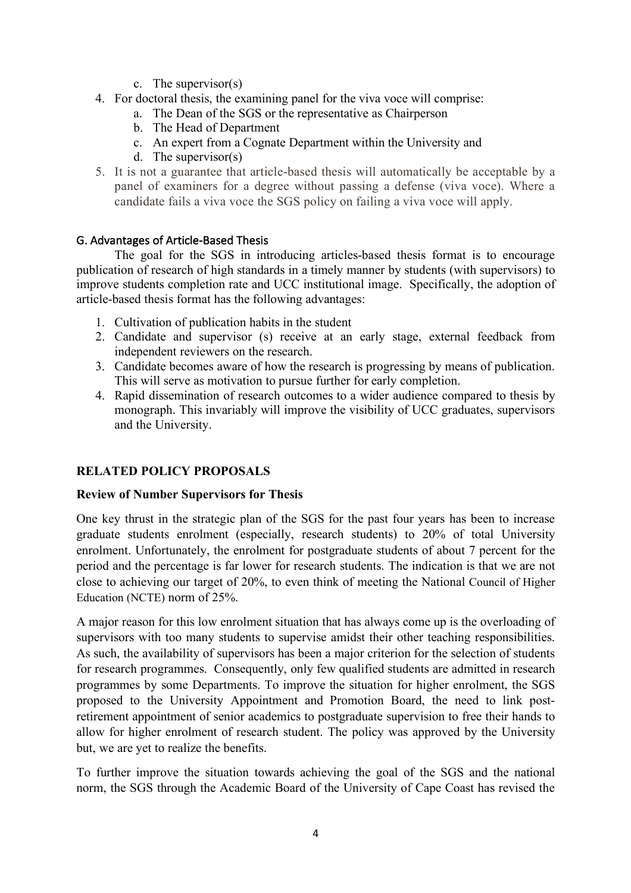- c. The supervisor(s)
- 4. For doctoral thesis, the examining panel for the viva voce will comprise:
	- a. The Dean of the SGS or the representative as Chairperson
	- b. The Head of Department
	- c. An expert from a Cognate Department within the University and
	- d. The supervisor(s)
- 5. It is not a guarantee that article-based thesis will automatically be acceptable by a panel of examiners for a degree without passing a defense (viva voce). Where a candidate fails a viva voce the SGS policy on failing a viva voce will apply.

## G. Advantages of Article-Based Thesis

The goal for the SGS in introducing articles-based thesis format is to encourage publication of research of high standards in a timely manner by students (with supervisors) to improve students completion rate and UCC institutional image. Specifically, the adoption of article-based thesis format has the following advantages:

- 1. Cultivation of publication habits in the student
- 2. Candidate and supervisor (s) receive at an early stage, external feedback from independent reviewers on the research.
- 3. Candidate becomes aware of how the research is progressing by means of publication. This will serve as motivation to pursue further for early completion.
- 4. Rapid dissemination of research outcomes to a wider audience compared to thesis by monograph. This invariably will improve the visibility of UCC graduates, supervisors and the University.

# **RELATED POLICY PROPOSALS**

## **Review of Number Supervisors for Thesis**

One key thrust in the strategic plan of the SGS for the past four years has been to increase graduate students enrolment (especially, research students) to 20% of total University enrolment. Unfortunately, the enrolment for postgraduate students of about 7 percent for the period and the percentage is far lower for research students. The indication is that we are not close to achieving our target of 20%, to even think of meeting the National Council of Higher Education (NCTE) norm of 25%.

A major reason for this low enrolment situation that has always come up is the overloading of supervisors with too many students to supervise amidst their other teaching responsibilities. As such, the availability of supervisors has been a major criterion for the selection of students for research programmes. Consequently, only few qualified students are admitted in research programmes by some Departments. To improve the situation for higher enrolment, the SGS proposed to the University Appointment and Promotion Board, the need to link postretirement appointment of senior academics to postgraduate supervision to free their hands to allow for higher enrolment of research student. The policy was approved by the University but, we are yet to realize the benefits.

To further improve the situation towards achieving the goal of the SGS and the national norm, the SGS through the Academic Board of the University of Cape Coast has revised the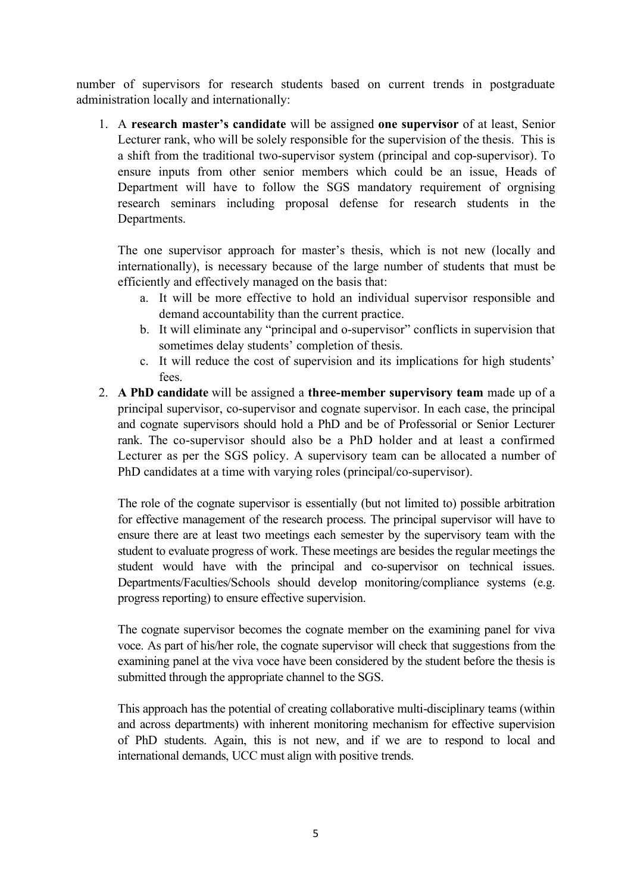number of supervisors for research students based on current trends in postgraduate administration locally and internationally:

1. A **research master's candidate** will be assigned **one supervisor** of at least, Senior Lecturer rank, who will be solely responsible for the supervision of the thesis. This is a shift from the traditional two-supervisor system (principal and cop-supervisor). To ensure inputs from other senior members which could be an issue, Heads of Department will have to follow the SGS mandatory requirement of orgnising research seminars including proposal defense for research students in the Departments.

The one supervisor approach for master's thesis, which is not new (locally and internationally), is necessary because of the large number of students that must be efficiently and effectively managed on the basis that:

- a. It will be more effective to hold an individual supervisor responsible and demand accountability than the current practice.
- b. It will eliminate any "principal and o-supervisor" conflicts in supervision that sometimes delay students' completion of thesis.
- c. It will reduce the cost of supervision and its implications for high students' fees.
- 2. **A PhD candidate** will be assigned a **three-member supervisory team** made up of a principal supervisor, co-supervisor and cognate supervisor. In each case, the principal and cognate supervisors should hold a PhD and be of Professorial or Senior Lecturer rank. The co-supervisor should also be a PhD holder and at least a confirmed Lecturer as per the SGS policy. A supervisory team can be allocated a number of PhD candidates at a time with varying roles (principal/co-supervisor).

The role of the cognate supervisor is essentially (but not limited to) possible arbitration for effective management of the research process. The principal supervisor will have to ensure there are at least two meetings each semester by the supervisory team with the student to evaluate progress of work. These meetings are besides the regular meetings the student would have with the principal and co-supervisor on technical issues. Departments/Faculties/Schools should develop monitoring/compliance systems (e.g. progress reporting) to ensure effective supervision.

The cognate supervisor becomes the cognate member on the examining panel for viva voce. As part of his/her role, the cognate supervisor will check that suggestions from the examining panel at the viva voce have been considered by the student before the thesis is submitted through the appropriate channel to the SGS.

This approach has the potential of creating collaborative multi-disciplinary teams (within and across departments) with inherent monitoring mechanism for effective supervision of PhD students. Again, this is not new, and if we are to respond to local and international demands, UCC must align with positive trends.